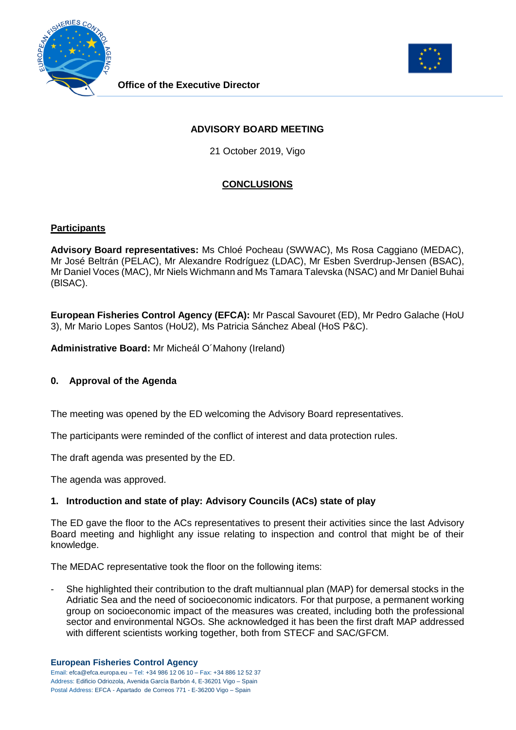



# **ADVISORY BOARD MEETING**

21 October 2019, Vigo

# **CONCLUSIONS**

## **Participants**

**Advisory Board representatives:** Ms Chloé Pocheau (SWWAC), Ms Rosa Caggiano (MEDAC), Mr José Beltrán (PELAC), Mr Alexandre Rodríguez (LDAC), Mr Esben Sverdrup-Jensen (BSAC), Mr Daniel Voces (MAC), Mr Niels Wichmann and Ms Tamara Talevska (NSAC) and Mr Daniel Buhai (BlSAC).

**European Fisheries Control Agency (EFCA):** Mr Pascal Savouret (ED), Mr Pedro Galache (HoU 3), Mr Mario Lopes Santos (HoU2), Ms Patricia Sánchez Abeal (HoS P&C).

**Administrative Board:** Mr Micheál O´Mahony (Ireland)

## **0. Approval of the Agenda**

The meeting was opened by the ED welcoming the Advisory Board representatives.

The participants were reminded of the conflict of interest and data protection rules.

The draft agenda was presented by the ED.

The agenda was approved.

## **1. Introduction and state of play: Advisory Councils (ACs) state of play**

The ED gave the floor to the ACs representatives to present their activities since the last Advisory Board meeting and highlight any issue relating to inspection and control that might be of their knowledge.

The MEDAC representative took the floor on the following items:

She highlighted their contribution to the draft multiannual plan (MAP) for demersal stocks in the Adriatic Sea and the need of socioeconomic indicators. For that purpose, a permanent working group on socioeconomic impact of the measures was created, including both the professional sector and environmental NGOs. She acknowledged it has been the first draft MAP addressed with different scientists working together, both from STECF and SAC/GFCM.

Email: efca@efca.europa.eu – Tel: +34 986 12 06 10 – Fax: +34 886 12 52 37 Address: Edificio Odriozola, Avenida García Barbón 4, E-36201 Vigo – Spain Postal Address: EFCA - Apartado de Correos 771 - E-36200 Vigo – Spain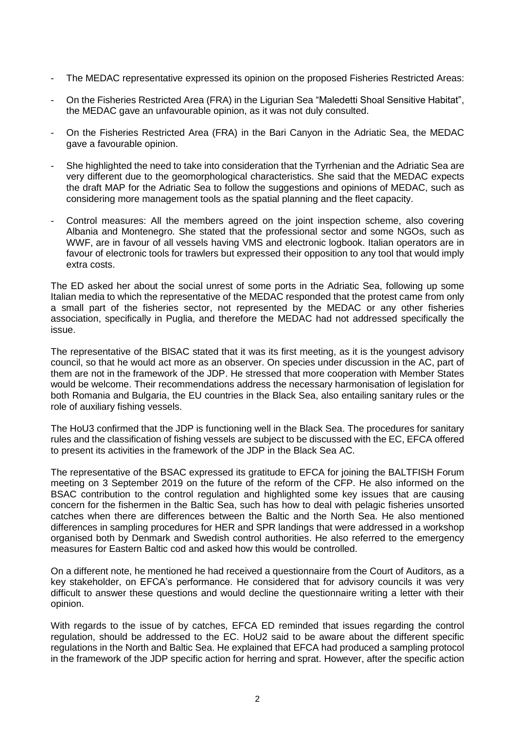- The MEDAC representative expressed its opinion on the proposed Fisheries Restricted Areas:
- On the Fisheries Restricted Area (FRA) in the Ligurian Sea "Maledetti Shoal Sensitive Habitat", the MEDAC gave an unfavourable opinion, as it was not duly consulted.
- On the Fisheries Restricted Area (FRA) in the Bari Canyon in the Adriatic Sea, the MEDAC gave a favourable opinion.
- She highlighted the need to take into consideration that the Tyrrhenian and the Adriatic Sea are very different due to the geomorphological characteristics. She said that the MEDAC expects the draft MAP for the Adriatic Sea to follow the suggestions and opinions of MEDAC, such as considering more management tools as the spatial planning and the fleet capacity.
- Control measures: All the members agreed on the joint inspection scheme, also covering Albania and Montenegro. She stated that the professional sector and some NGOs, such as WWF, are in favour of all vessels having VMS and electronic logbook. Italian operators are in favour of electronic tools for trawlers but expressed their opposition to any tool that would imply extra costs.

The ED asked her about the social unrest of some ports in the Adriatic Sea, following up some Italian media to which the representative of the MEDAC responded that the protest came from only a small part of the fisheries sector, not represented by the MEDAC or any other fisheries association, specifically in Puglia, and therefore the MEDAC had not addressed specifically the issue.

The representative of the BISAC stated that it was its first meeting, as it is the youngest advisory council, so that he would act more as an observer. On species under discussion in the AC, part of them are not in the framework of the JDP. He stressed that more cooperation with Member States would be welcome. Their recommendations address the necessary harmonisation of legislation for both Romania and Bulgaria, the EU countries in the Black Sea, also entailing sanitary rules or the role of auxiliary fishing vessels.

The HoU3 confirmed that the JDP is functioning well in the Black Sea. The procedures for sanitary rules and the classification of fishing vessels are subject to be discussed with the EC, EFCA offered to present its activities in the framework of the JDP in the Black Sea AC.

The representative of the BSAC expressed its gratitude to EFCA for joining the BALTFISH Forum meeting on 3 September 2019 on the future of the reform of the CFP. He also informed on the BSAC contribution to the control regulation and highlighted some key issues that are causing concern for the fishermen in the Baltic Sea, such has how to deal with pelagic fisheries unsorted catches when there are differences between the Baltic and the North Sea. He also mentioned differences in sampling procedures for HER and SPR landings that were addressed in a workshop organised both by Denmark and Swedish control authorities. He also referred to the emergency measures for Eastern Baltic cod and asked how this would be controlled.

On a different note, he mentioned he had received a questionnaire from the Court of Auditors, as a key stakeholder, on EFCA's performance. He considered that for advisory councils it was very difficult to answer these questions and would decline the questionnaire writing a letter with their opinion.

With regards to the issue of by catches, EFCA ED reminded that issues regarding the control regulation, should be addressed to the EC. HoU2 said to be aware about the different specific regulations in the North and Baltic Sea. He explained that EFCA had produced a sampling protocol in the framework of the JDP specific action for herring and sprat. However, after the specific action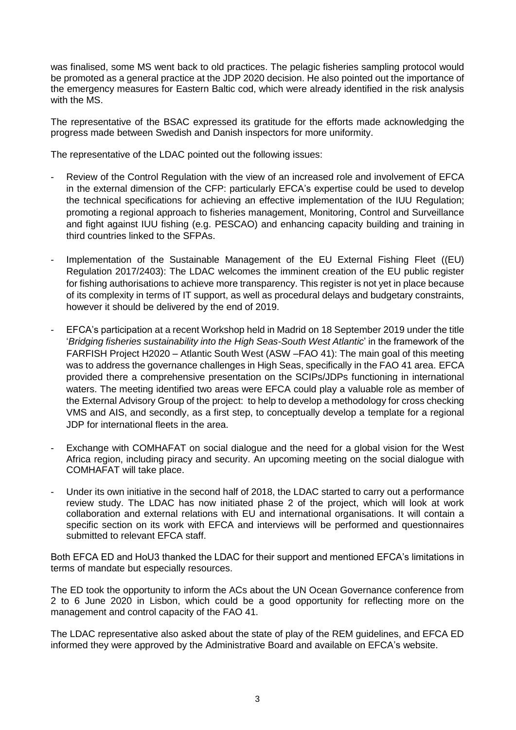was finalised, some MS went back to old practices. The pelagic fisheries sampling protocol would be promoted as a general practice at the JDP 2020 decision. He also pointed out the importance of the emergency measures for Eastern Baltic cod, which were already identified in the risk analysis with the MS.

The representative of the BSAC expressed its gratitude for the efforts made acknowledging the progress made between Swedish and Danish inspectors for more uniformity.

The representative of the LDAC pointed out the following issues:

- Review of the Control Regulation with the view of an increased role and involvement of EFCA in the external dimension of the CFP: particularly EFCA's expertise could be used to develop the technical specifications for achieving an effective implementation of the IUU Regulation; promoting a regional approach to fisheries management, Monitoring, Control and Surveillance and fight against IUU fishing (e.g. PESCAO) and enhancing capacity building and training in third countries linked to the SFPAs.
- Implementation of the Sustainable Management of the EU External Fishing Fleet ((EU) Regulation 2017/2403): The LDAC welcomes the imminent creation of the EU public register for fishing authorisations to achieve more transparency. This register is not yet in place because of its complexity in terms of IT support, as well as procedural delays and budgetary constraints, however it should be delivered by the end of 2019.
- EFCA's participation at a recent Workshop held in Madrid on 18 September 2019 under the title '*Bridging fisheries sustainability into the High Seas-South West Atlantic*' in the framework of the FARFISH Project H2020 – Atlantic South West (ASW –FAO 41): The main goal of this meeting was to address the governance challenges in High Seas, specifically in the FAO 41 area. EFCA provided there a comprehensive presentation on the SCIPs/JDPs functioning in international waters. The meeting identified two areas were EFCA could play a valuable role as member of the External Advisory Group of the project: to help to develop a methodology for cross checking VMS and AIS, and secondly, as a first step, to conceptually develop a template for a regional JDP for international fleets in the area.
- Exchange with COMHAFAT on social dialogue and the need for a global vision for the West Africa region, including piracy and security. An upcoming meeting on the social dialogue with COMHAFAT will take place.
- Under its own initiative in the second half of 2018, the LDAC started to carry out a performance review study. The LDAC has now initiated phase 2 of the project, which will look at work collaboration and external relations with EU and international organisations. It will contain a specific section on its work with EFCA and interviews will be performed and questionnaires submitted to relevant EFCA staff.

Both EFCA ED and HoU3 thanked the LDAC for their support and mentioned EFCA's limitations in terms of mandate but especially resources.

The ED took the opportunity to inform the ACs about the UN Ocean Governance conference from 2 to 6 June 2020 in Lisbon, which could be a good opportunity for reflecting more on the management and control capacity of the FAO 41.

The LDAC representative also asked about the state of play of the REM guidelines, and EFCA ED informed they were approved by the Administrative Board and available on EFCA's website.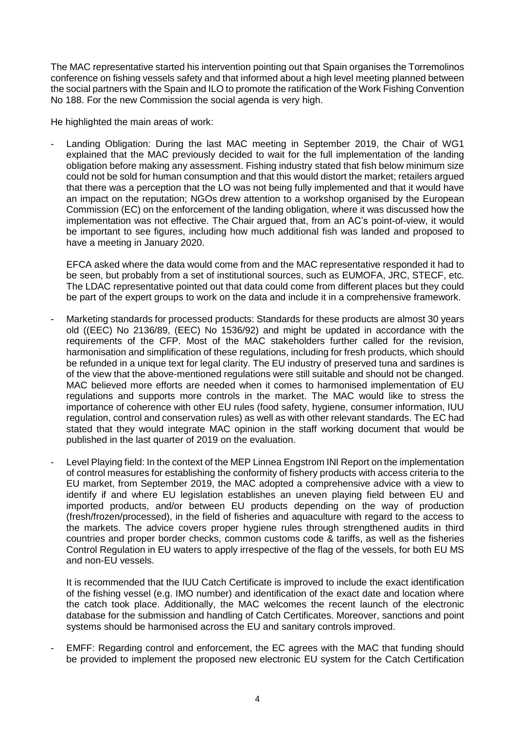The MAC representative started his intervention pointing out that Spain organises the Torremolinos conference on fishing vessels safety and that informed about a high level meeting planned between the social partners with the Spain and ILO to promote the ratification of the Work Fishing Convention No 188. For the new Commission the social agenda is very high.

He highlighted the main areas of work:

Landing Obligation: During the last MAC meeting in September 2019, the Chair of WG1 explained that the MAC previously decided to wait for the full implementation of the landing obligation before making any assessment. Fishing industry stated that fish below minimum size could not be sold for human consumption and that this would distort the market; retailers argued that there was a perception that the LO was not being fully implemented and that it would have an impact on the reputation; NGOs drew attention to a workshop organised by the European Commission (EC) on the enforcement of the landing obligation, where it was discussed how the implementation was not effective. The Chair argued that, from an AC's point-of-view, it would be important to see figures, including how much additional fish was landed and proposed to have a meeting in January 2020.

EFCA asked where the data would come from and the MAC representative responded it had to be seen, but probably from a set of institutional sources, such as EUMOFA, JRC, STECF, etc. The LDAC representative pointed out that data could come from different places but they could be part of the expert groups to work on the data and include it in a comprehensive framework.

- Marketing standards for processed products: Standards for these products are almost 30 years old ((EEC) No 2136/89, (EEC) No 1536/92) and might be updated in accordance with the requirements of the CFP. Most of the MAC stakeholders further called for the revision, harmonisation and simplification of these regulations, including for fresh products, which should be refunded in a unique text for legal clarity. The EU industry of preserved tuna and sardines is of the view that the above-mentioned regulations were still suitable and should not be changed. MAC believed more efforts are needed when it comes to harmonised implementation of EU regulations and supports more controls in the market. The MAC would like to stress the importance of coherence with other EU rules (food safety, hygiene, consumer information, IUU regulation, control and conservation rules) as well as with other relevant standards. The EC had stated that they would integrate MAC opinion in the staff working document that would be published in the last quarter of 2019 on the evaluation.
- Level Playing field: In the context of the MEP Linnea Engstrom INI Report on the implementation of control measures for establishing the conformity of fishery products with access criteria to the EU market, from September 2019, the MAC adopted a comprehensive advice with a view to identify if and where EU legislation establishes an uneven playing field between EU and imported products, and/or between EU products depending on the way of production (fresh/frozen/processed), in the field of fisheries and aquaculture with regard to the access to the markets. The advice covers proper hygiene rules through strengthened audits in third countries and proper border checks, common customs code & tariffs, as well as the fisheries Control Regulation in EU waters to apply irrespective of the flag of the vessels, for both EU MS and non-EU vessels.

It is recommended that the IUU Catch Certificate is improved to include the exact identification of the fishing vessel (e.g. IMO number) and identification of the exact date and location where the catch took place. Additionally, the MAC welcomes the recent launch of the electronic database for the submission and handling of Catch Certificates. Moreover, sanctions and point systems should be harmonised across the EU and sanitary controls improved.

EMFF: Regarding control and enforcement, the EC agrees with the MAC that funding should be provided to implement the proposed new electronic EU system for the Catch Certification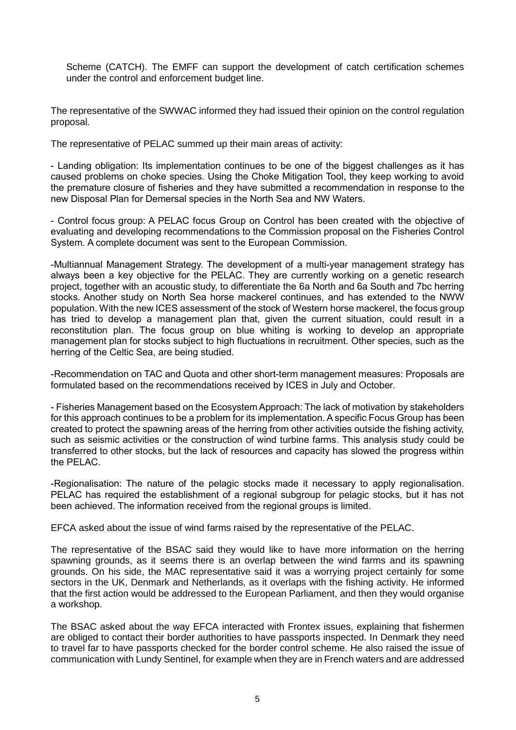Scheme (CATCH). The EMFF can support the development of catch certification schemes under the control and enforcement budget line.

The representative of the SWWAC informed they had issued their opinion on the control regulation proposal.

The representative of PELAC summed up their main areas of activity:

- Landing obligation: Its implementation continues to be one of the biggest challenges as it has caused problems on choke species. Using the Choke Mitigation Tool, they keep working to avoid the premature closure of fisheries and they have submitted a recommendation in response to the new Disposal Plan for Demersal species in the North Sea and NW Waters.

- Control focus group: A PELAC focus Group on Control has been created with the objective of evaluating and developing recommendations to the Commission proposal on the Fisheries Control System. A complete document was sent to the European Commission.

-Multiannual Management Strategy. The development of a multi-year management strategy has always been a key objective for the PELAC. They are currently working on a genetic research project, together with an acoustic study, to differentiate the 6a North and 6a South and 7bc herring stocks. Another study on North Sea horse mackerel continues, and has extended to the NWW population. With the new ICES assessment of the stock of Western horse mackerel, the focus group has tried to develop a management plan that, given the current situation, could result in a reconstitution plan. The focus group on blue whiting is working to develop an appropriate management plan for stocks subject to high fluctuations in recruitment. Other species, such as the herring of the Celtic Sea, are being studied.

-Recommendation on TAC and Quota and other short-term management measures: Proposals are formulated based on the recommendations received by ICES in July and October.

- Fisheries Management based on the Ecosystem Approach: The lack of motivation by stakeholders for this approach continues to be a problem for its implementation. A specific Focus Group has been created to protect the spawning areas of the herring from other activities outside the fishing activity, such as seismic activities or the construction of wind turbine farms. This analysis study could be transferred to other stocks, but the lack of resources and capacity has slowed the progress within the PELAC.

-Regionalisation: The nature of the pelagic stocks made it necessary to apply regionalisation. PELAC has required the establishment of a regional subgroup for pelagic stocks, but it has not been achieved. The information received from the regional groups is limited.

EFCA asked about the issue of wind farms raised by the representative of the PELAC.

The representative of the BSAC said they would like to have more information on the herring spawning grounds, as it seems there is an overlap between the wind farms and its spawning grounds. On his side, the MAC representative said it was a worrying project certainly for some sectors in the UK, Denmark and Netherlands, as it overlaps with the fishing activity. He informed that the first action would be addressed to the European Parliament, and then they would organise a workshop.

The BSAC asked about the way EFCA interacted with Frontex issues, explaining that fishermen are obliged to contact their border authorities to have passports inspected. In Denmark they need to travel far to have passports checked for the border control scheme. He also raised the issue of communication with Lundy Sentinel, for example when they are in French waters and are addressed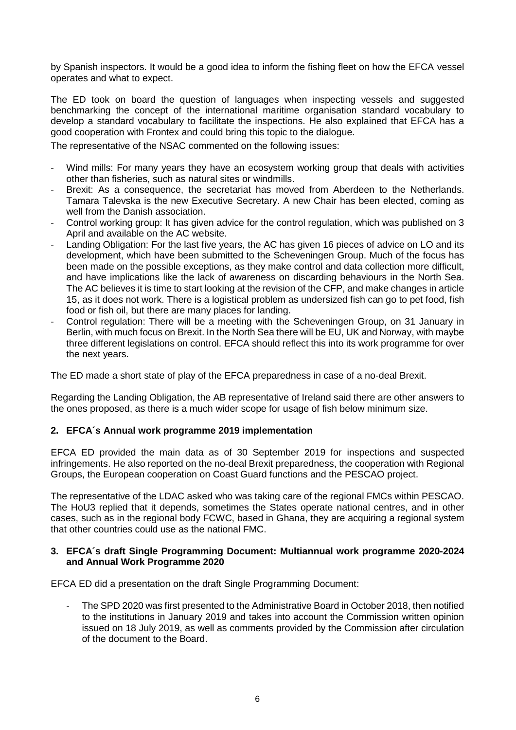by Spanish inspectors. It would be a good idea to inform the fishing fleet on how the EFCA vessel operates and what to expect.

The ED took on board the question of languages when inspecting vessels and suggested benchmarking the concept of the international maritime organisation standard vocabulary to develop a standard vocabulary to facilitate the inspections. He also explained that EFCA has a good cooperation with Frontex and could bring this topic to the dialogue.

The representative of the NSAC commented on the following issues:

- Wind mills: For many years they have an ecosystem working group that deals with activities other than fisheries, such as natural sites or windmills.
- Brexit: As a consequence, the secretariat has moved from Aberdeen to the Netherlands. Tamara Talevska is the new Executive Secretary. A new Chair has been elected, coming as well from the Danish association.
- Control working group: It has given advice for the control regulation, which was published on 3 April and available on the AC website.
- Landing Obligation: For the last five years, the AC has given 16 pieces of advice on LO and its development, which have been submitted to the Scheveningen Group. Much of the focus has been made on the possible exceptions, as they make control and data collection more difficult, and have implications like the lack of awareness on discarding behaviours in the North Sea. The AC believes it is time to start looking at the revision of the CFP, and make changes in article 15, as it does not work. There is a logistical problem as undersized fish can go to pet food, fish food or fish oil, but there are many places for landing.
- Control regulation: There will be a meeting with the Scheveningen Group, on 31 January in Berlin, with much focus on Brexit. In the North Sea there will be EU, UK and Norway, with maybe three different legislations on control. EFCA should reflect this into its work programme for over the next years.

The ED made a short state of play of the EFCA preparedness in case of a no-deal Brexit.

Regarding the Landing Obligation, the AB representative of Ireland said there are other answers to the ones proposed, as there is a much wider scope for usage of fish below minimum size.

#### **2. EFCA´s Annual work programme 2019 implementation**

EFCA ED provided the main data as of 30 September 2019 for inspections and suspected infringements. He also reported on the no-deal Brexit preparedness, the cooperation with Regional Groups, the European cooperation on Coast Guard functions and the PESCAO project.

The representative of the LDAC asked who was taking care of the regional FMCs within PESCAO. The HoU3 replied that it depends, sometimes the States operate national centres, and in other cases, such as in the regional body FCWC, based in Ghana, they are acquiring a regional system that other countries could use as the national FMC.

#### **3. EFCA´s draft Single Programming Document: Multiannual work programme 2020-2024 and Annual Work Programme 2020**

EFCA ED did a presentation on the draft Single Programming Document:

- The SPD 2020 was first presented to the Administrative Board in October 2018, then notified to the institutions in January 2019 and takes into account the Commission written opinion issued on 18 July 2019, as well as comments provided by the Commission after circulation of the document to the Board.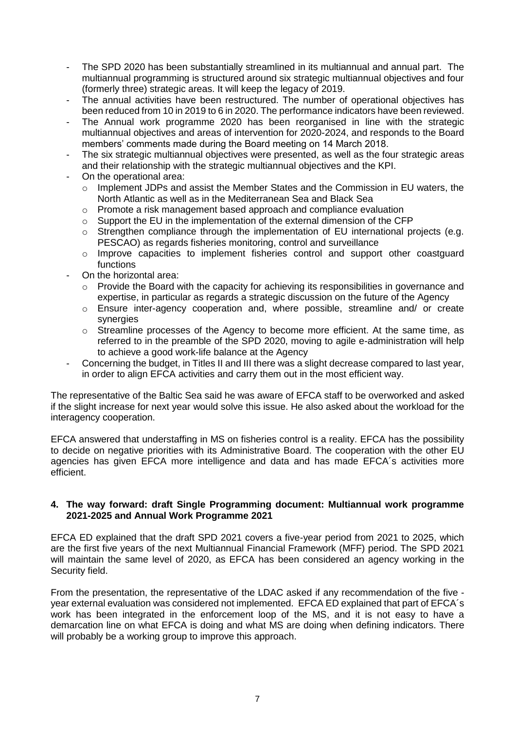- The SPD 2020 has been substantially streamlined in its multiannual and annual part. The multiannual programming is structured around six strategic multiannual objectives and four (formerly three) strategic areas. It will keep the legacy of 2019.
- The annual activities have been restructured. The number of operational objectives has been reduced from 10 in 2019 to 6 in 2020. The performance indicators have been reviewed.
- The Annual work programme 2020 has been reorganised in line with the strategic multiannual objectives and areas of intervention for 2020-2024, and responds to the Board members' comments made during the Board meeting on 14 March 2018.
- The six strategic multiannual objectives were presented, as well as the four strategic areas and their relationship with the strategic multiannual objectives and the KPI.
- On the operational area:
	- o Implement JDPs and assist the Member States and the Commission in EU waters, the North Atlantic as well as in the Mediterranean Sea and Black Sea
	- $\circ$  Promote a risk management based approach and compliance evaluation
	- o Support the EU in the implementation of the external dimension of the CFP
	- o Strengthen compliance through the implementation of EU international projects (e.g. PESCAO) as regards fisheries monitoring, control and surveillance
	- $\circ$  Improve capacities to implement fisheries control and support other coastguard functions
- On the horizontal area:
	- $\circ$  Provide the Board with the capacity for achieving its responsibilities in governance and expertise, in particular as regards a strategic discussion on the future of the Agency
	- o Ensure inter-agency cooperation and, where possible, streamline and/ or create synergies
	- $\circ$  Streamline processes of the Agency to become more efficient. At the same time, as referred to in the preamble of the SPD 2020, moving to agile e-administration will help to achieve a good work-life balance at the Agency
	- Concerning the budget, in Titles II and III there was a slight decrease compared to last year, in order to align EFCA activities and carry them out in the most efficient way.

The representative of the Baltic Sea said he was aware of EFCA staff to be overworked and asked if the slight increase for next year would solve this issue. He also asked about the workload for the interagency cooperation.

EFCA answered that understaffing in MS on fisheries control is a reality. EFCA has the possibility to decide on negative priorities with its Administrative Board. The cooperation with the other EU agencies has given EFCA more intelligence and data and has made EFCA´s activities more efficient.

#### **4. The way forward: draft Single Programming document: Multiannual work programme 2021-2025 and Annual Work Programme 2021**

EFCA ED explained that the draft SPD 2021 covers a five-year period from 2021 to 2025, which are the first five years of the next Multiannual Financial Framework (MFF) period. The SPD 2021 will maintain the same level of 2020, as EFCA has been considered an agency working in the Security field.

From the presentation, the representative of the LDAC asked if any recommendation of the five year external evaluation was considered not implemented. EFCA ED explained that part of EFCA´s work has been integrated in the enforcement loop of the MS, and it is not easy to have a demarcation line on what EFCA is doing and what MS are doing when defining indicators. There will probably be a working group to improve this approach.